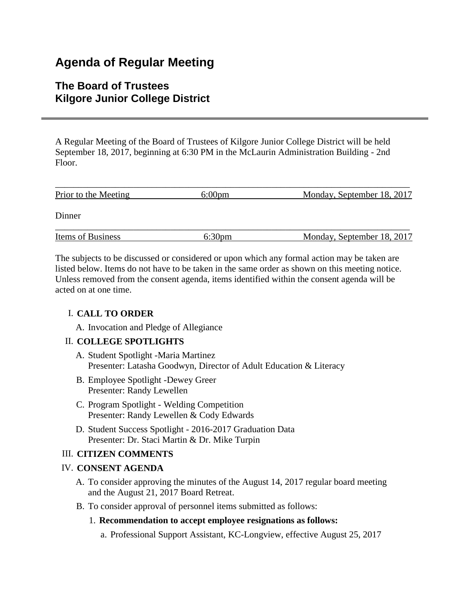# **Agenda of Regular Meeting**

# **The Board of Trustees Kilgore Junior College District**

A Regular Meeting of the Board of Trustees of Kilgore Junior College District will be held September 18, 2017, beginning at 6:30 PM in the McLaurin Administration Building - 2nd Floor.

| Prior to the Meeting     | $6:00 \text{pm}$ | Monday, September 18, 2017 |
|--------------------------|------------------|----------------------------|
| Dinner                   |                  |                            |
| <b>Items of Business</b> | $6:30 \text{pm}$ | Monday, September 18, 2017 |

The subjects to be discussed or considered or upon which any formal action may be taken are listed below. Items do not have to be taken in the same order as shown on this meeting notice. Unless removed from the consent agenda, items identified within the consent agenda will be acted on at one time.

# I. **CALL TO ORDER**

A. Invocation and Pledge of Allegiance

# II. **COLLEGE SPOTLIGHTS**

- A. Student Spotlight -Maria Martinez Presenter: Latasha Goodwyn, Director of Adult Education & Literacy
- B. Employee Spotlight -Dewey Greer Presenter: Randy Lewellen
- C. Program Spotlight Welding Competition Presenter: Randy Lewellen & Cody Edwards
- D. Student Success Spotlight 2016-2017 Graduation Data Presenter: Dr. Staci Martin & Dr. Mike Turpin

# III. **CITIZEN COMMENTS**

# IV. **CONSENT AGENDA**

- A. To consider approving the minutes of the August 14, 2017 regular board meeting and the August 21, 2017 Board Retreat.
- B. To consider approval of personnel items submitted as follows:

# 1. **Recommendation to accept employee resignations as follows:**

a. Professional Support Assistant, KC-Longview, effective August 25, 2017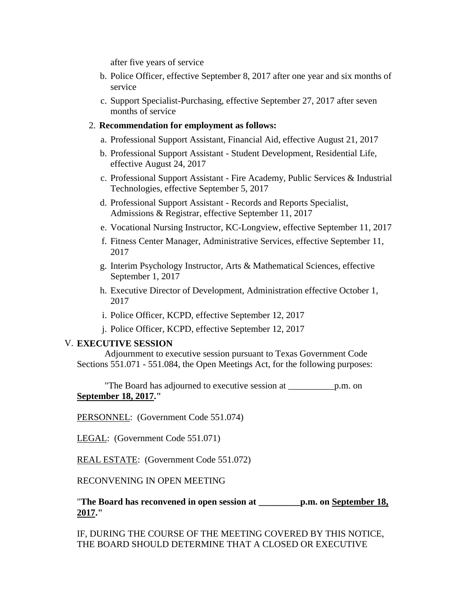after five years of service

- b. Police Officer, effective September 8, 2017 after one year and six months of service
- c. Support Specialist-Purchasing, effective September 27, 2017 after seven months of service

#### 2. **Recommendation for employment as follows:**

- a. Professional Support Assistant, Financial Aid, effective August 21, 2017
- b. Professional Support Assistant Student Development, Residential Life, effective August 24, 2017
- c. Professional Support Assistant Fire Academy, Public Services & Industrial Technologies, effective September 5, 2017
- d. Professional Support Assistant Records and Reports Specialist, Admissions & Registrar, effective September 11, 2017
- e. Vocational Nursing Instructor, KC-Longview, effective September 11, 2017
- f. Fitness Center Manager, Administrative Services, effective September 11, 2017
- g. Interim Psychology Instructor, Arts & Mathematical Sciences, effective September 1, 2017
- h. Executive Director of Development, Administration effective October 1, 2017
- i. Police Officer, KCPD, effective September 12, 2017
- j. Police Officer, KCPD, effective September 12, 2017

# V. **EXECUTIVE SESSION**

 Adjournment to executive session pursuant to Texas Government Code Sections 551.071 - 551.084, the Open Meetings Act, for the following purposes:

 "The Board has adjourned to executive session at \_\_\_\_\_\_\_\_\_\_p.m. on **September 18, 2017."**

PERSONNEL: (Government Code 551.074)

LEGAL: (Government Code 551.071)

REAL ESTATE: (Government Code 551.072)

RECONVENING IN OPEN MEETING

"**The Board has reconvened in open session at \_\_\_\_\_\_\_\_\_p.m. on September 18, 2017."**

IF, DURING THE COURSE OF THE MEETING COVERED BY THIS NOTICE, THE BOARD SHOULD DETERMINE THAT A CLOSED OR EXECUTIVE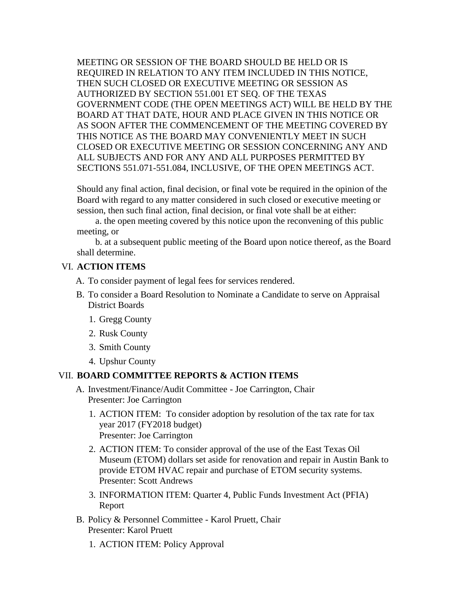MEETING OR SESSION OF THE BOARD SHOULD BE HELD OR IS REQUIRED IN RELATION TO ANY ITEM INCLUDED IN THIS NOTICE, THEN SUCH CLOSED OR EXECUTIVE MEETING OR SESSION AS AUTHORIZED BY SECTION 551.001 ET SEQ. OF THE TEXAS GOVERNMENT CODE (THE OPEN MEETINGS ACT) WILL BE HELD BY THE BOARD AT THAT DATE, HOUR AND PLACE GIVEN IN THIS NOTICE OR AS SOON AFTER THE COMMENCEMENT OF THE MEETING COVERED BY THIS NOTICE AS THE BOARD MAY CONVENIENTLY MEET IN SUCH CLOSED OR EXECUTIVE MEETING OR SESSION CONCERNING ANY AND ALL SUBJECTS AND FOR ANY AND ALL PURPOSES PERMITTED BY SECTIONS 551.071-551.084, INCLUSIVE, OF THE OPEN MEETINGS ACT.

Should any final action, final decision, or final vote be required in the opinion of the Board with regard to any matter considered in such closed or executive meeting or session, then such final action, final decision, or final vote shall be at either:

 a. the open meeting covered by this notice upon the reconvening of this public meeting, or

 b. at a subsequent public meeting of the Board upon notice thereof, as the Board shall determine.

#### VI. **ACTION ITEMS**

- A. To consider payment of legal fees for services rendered.
- B. To consider a Board Resolution to Nominate a Candidate to serve on Appraisal District Boards
	- 1. Gregg County
	- 2. Rusk County
	- 3. Smith County
	- 4. Upshur County

#### VII. **BOARD COMMITTEE REPORTS & ACTION ITEMS**

- A. Investment/Finance/Audit Committee Joe Carrington, Chair Presenter: Joe Carrington
	- 1. ACTION ITEM: To consider adoption by resolution of the tax rate for tax year 2017 (FY2018 budget) Presenter: Joe Carrington
	- 2. ACTION ITEM: To consider approval of the use of the East Texas Oil Museum (ETOM) dollars set aside for renovation and repair in Austin Bank to provide ETOM HVAC repair and purchase of ETOM security systems. Presenter: Scott Andrews
	- 3. INFORMATION ITEM: Quarter 4, Public Funds Investment Act (PFIA) Report
- B. Policy & Personnel Committee Karol Pruett, Chair Presenter: Karol Pruett
	- 1. ACTION ITEM: Policy Approval